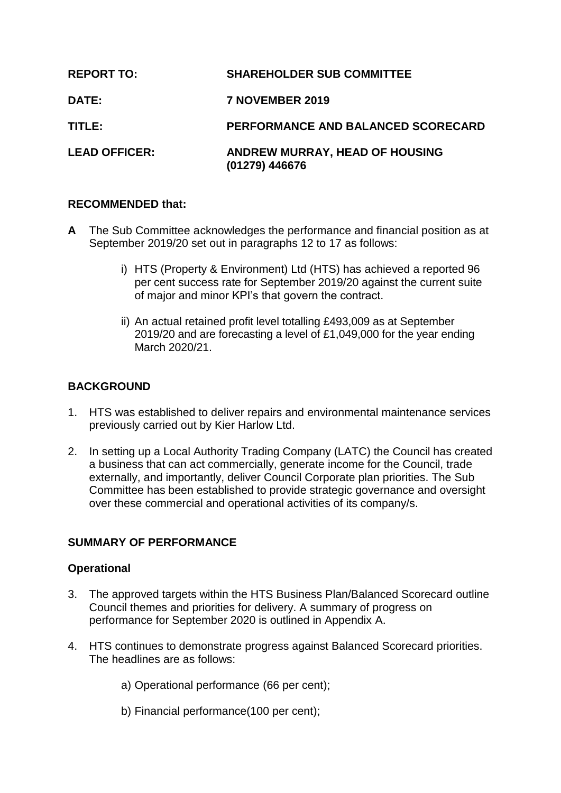| <b>REPORT TO:</b>    | <b>SHAREHOLDER SUB COMMITTEE</b>                   |
|----------------------|----------------------------------------------------|
| <b>DATE:</b>         | 7 NOVEMBER 2019                                    |
| TITLE:               | PERFORMANCE AND BALANCED SCORECARD                 |
| <b>LEAD OFFICER:</b> | ANDREW MURRAY, HEAD OF HOUSING<br>$(01279)$ 446676 |

# **RECOMMENDED that:**

- **A** The Sub Committee acknowledges the performance and financial position as at September 2019/20 set out in paragraphs 12 to 17 as follows:
	- i) HTS (Property & Environment) Ltd (HTS) has achieved a reported 96 per cent success rate for September 2019/20 against the current suite of major and minor KPI's that govern the contract.
	- ii) An actual retained profit level totalling £493,009 as at September 2019/20 and are forecasting a level of £1,049,000 for the year ending March 2020/21.

# **BACKGROUND**

- 1. HTS was established to deliver repairs and environmental maintenance services previously carried out by Kier Harlow Ltd.
- 2. In setting up a Local Authority Trading Company (LATC) the Council has created a business that can act commercially, generate income for the Council, trade externally, and importantly, deliver Council Corporate plan priorities. The Sub Committee has been established to provide strategic governance and oversight over these commercial and operational activities of its company/s.

### **SUMMARY OF PERFORMANCE**

### **Operational**

- 3. The approved targets within the HTS Business Plan/Balanced Scorecard outline Council themes and priorities for delivery. A summary of progress on performance for September 2020 is outlined in Appendix A.
- 4. HTS continues to demonstrate progress against Balanced Scorecard priorities. The headlines are as follows:
	- a) Operational performance (66 per cent);
	- b) Financial performance(100 per cent);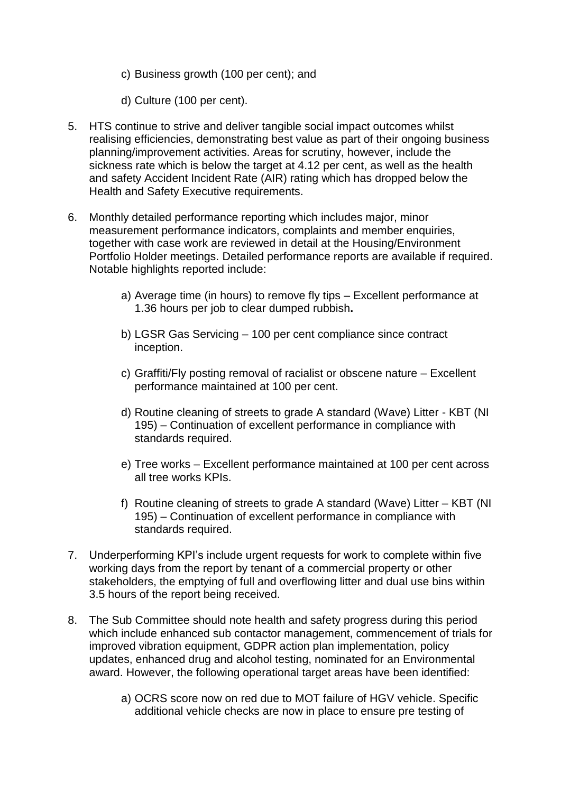- c) Business growth (100 per cent); and
- d) Culture (100 per cent).
- 5. HTS continue to strive and deliver tangible social impact outcomes whilst realising efficiencies, demonstrating best value as part of their ongoing business planning/improvement activities. Areas for scrutiny, however, include the sickness rate which is below the target at 4.12 per cent, as well as the health and safety Accident Incident Rate (AIR) rating which has dropped below the Health and Safety Executive requirements.
- 6. Monthly detailed performance reporting which includes major, minor measurement performance indicators, complaints and member enquiries, together with case work are reviewed in detail at the Housing/Environment Portfolio Holder meetings. Detailed performance reports are available if required. Notable highlights reported include:
	- a) Average time (in hours) to remove fly tips Excellent performance at 1.36 hours per job to clear dumped rubbish**.**
	- b) LGSR Gas Servicing 100 per cent compliance since contract inception.
	- c) Graffiti/Fly posting removal of racialist or obscene nature Excellent performance maintained at 100 per cent.
	- d) Routine cleaning of streets to grade A standard (Wave) Litter KBT (NI 195) – Continuation of excellent performance in compliance with standards required.
	- e) Tree works Excellent performance maintained at 100 per cent across all tree works KPIs.
	- f) Routine cleaning of streets to grade A standard (Wave) Litter KBT (NI 195) – Continuation of excellent performance in compliance with standards required.
- 7. Underperforming KPI's include urgent requests for work to complete within five working days from the report by tenant of a commercial property or other stakeholders, the emptying of full and overflowing litter and dual use bins within 3.5 hours of the report being received.
- 8. The Sub Committee should note health and safety progress during this period which include enhanced sub contactor management, commencement of trials for improved vibration equipment, GDPR action plan implementation, policy updates, enhanced drug and alcohol testing, nominated for an Environmental award. However, the following operational target areas have been identified:
	- a) OCRS score now on red due to MOT failure of HGV vehicle. Specific additional vehicle checks are now in place to ensure pre testing of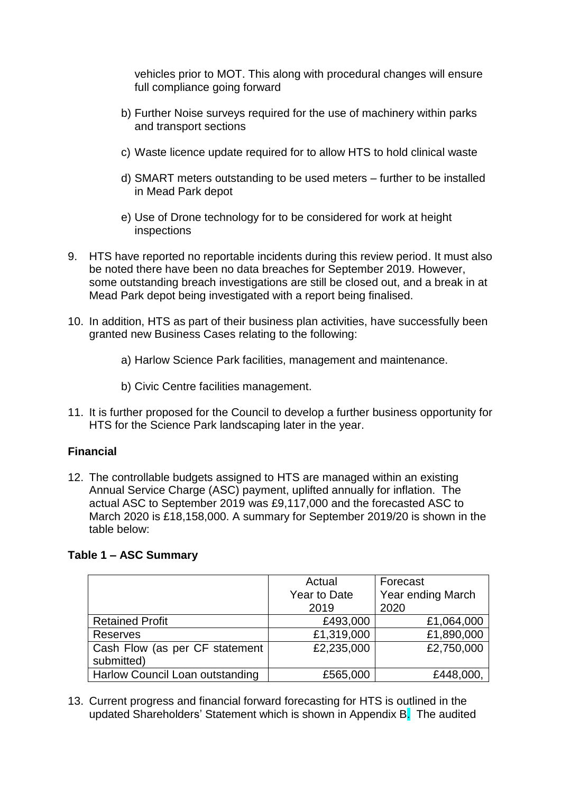vehicles prior to MOT. This along with procedural changes will ensure full compliance going forward

- b) Further Noise surveys required for the use of machinery within parks and transport sections
- c) Waste licence update required for to allow HTS to hold clinical waste
- d) SMART meters outstanding to be used meters further to be installed in Mead Park depot
- e) Use of Drone technology for to be considered for work at height inspections
- 9. HTS have reported no reportable incidents during this review period. It must also be noted there have been no data breaches for September 2019. However, some outstanding breach investigations are still be closed out, and a break in at Mead Park depot being investigated with a report being finalised.
- 10. In addition, HTS as part of their business plan activities, have successfully been granted new Business Cases relating to the following:
	- a) Harlow Science Park facilities, management and maintenance.
	- b) Civic Centre facilities management.
- 11. It is further proposed for the Council to develop a further business opportunity for HTS for the Science Park landscaping later in the year.

# **Financial**

12. The controllable budgets assigned to HTS are managed within an existing Annual Service Charge (ASC) payment, uplifted annually for inflation. The actual ASC to September 2019 was £9,117,000 and the forecasted ASC to March 2020 is £18,158,000. A summary for September 2019/20 is shown in the table below:

# **Table 1 – ASC Summary**

|                                 | Actual       | Forecast          |
|---------------------------------|--------------|-------------------|
|                                 | Year to Date | Year ending March |
|                                 | 2019         | 2020              |
| <b>Retained Profit</b>          | £493,000     | £1,064,000        |
| <b>Reserves</b>                 | £1,319,000   | £1,890,000        |
| Cash Flow (as per CF statement  | £2,235,000   | £2,750,000        |
| submitted)                      |              |                   |
| Harlow Council Loan outstanding | £565,000     | £448,000,         |

13. Current progress and financial forward forecasting for HTS is outlined in the updated Shareholders' Statement which is shown in Appendix B. The audited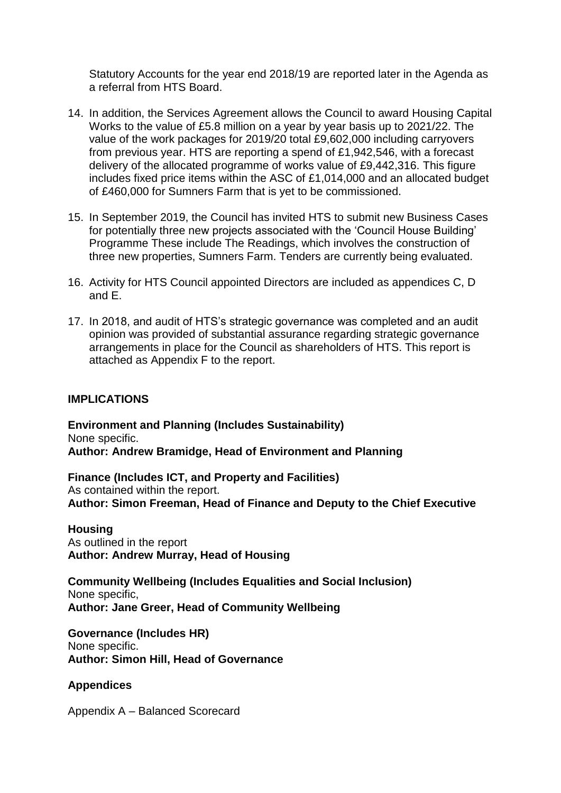Statutory Accounts for the year end 2018/19 are reported later in the Agenda as a referral from HTS Board.

- 14. In addition, the Services Agreement allows the Council to award Housing Capital Works to the value of £5.8 million on a year by year basis up to 2021/22. The value of the work packages for 2019/20 total £9,602,000 including carryovers from previous year. HTS are reporting a spend of £1,942,546, with a forecast delivery of the allocated programme of works value of £9,442,316. This figure includes fixed price items within the ASC of £1,014,000 and an allocated budget of £460,000 for Sumners Farm that is yet to be commissioned.
- 15. In September 2019, the Council has invited HTS to submit new Business Cases for potentially three new projects associated with the 'Council House Building' Programme These include The Readings, which involves the construction of three new properties, Sumners Farm. Tenders are currently being evaluated.
- 16. Activity for HTS Council appointed Directors are included as appendices C, D and E.
- 17. In 2018, and audit of HTS's strategic governance was completed and an audit opinion was provided of substantial assurance regarding strategic governance arrangements in place for the Council as shareholders of HTS. This report is attached as Appendix F to the report.

### **IMPLICATIONS**

**Environment and Planning (Includes Sustainability)** None specific. **Author: Andrew Bramidge, Head of Environment and Planning**

**Finance (Includes ICT, and Property and Facilities)** As contained within the report. **Author: Simon Freeman, Head of Finance and Deputy to the Chief Executive**

#### **Housing**

As outlined in the report **Author: Andrew Murray, Head of Housing**

**Community Wellbeing (Includes Equalities and Social Inclusion)** None specific, **Author: Jane Greer, Head of Community Wellbeing**

**Governance (Includes HR)** None specific. **Author: Simon Hill, Head of Governance**

### **Appendices**

Appendix A – Balanced Scorecard